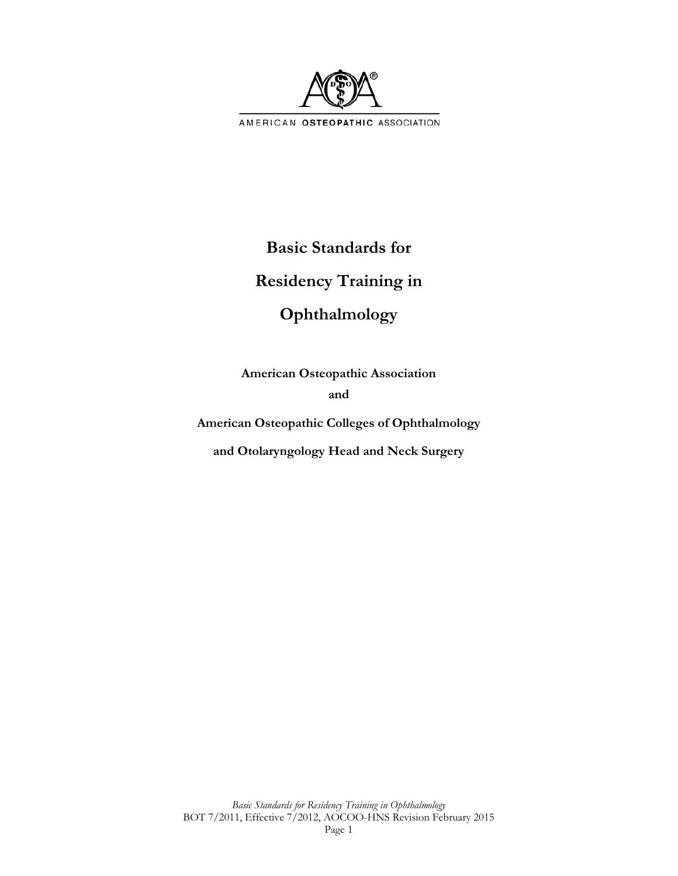

# **Basic Standards for**

# **Residency Training in**

# **Ophthalmology**

**American Osteopathic Association and** 

**American Osteopathic Colleges of Ophthalmology** 

**and Otolaryngology Head and Neck Surgery**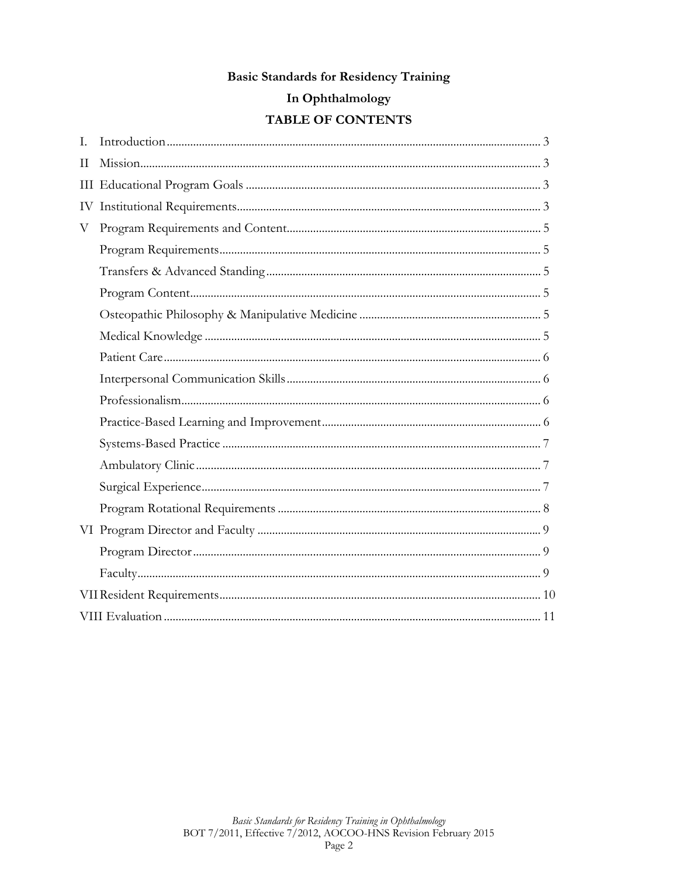### **Basic Standards for Residency Training**

# In Ophthalmology

# TABLE OF CONTENTS

| L. |  |  |  |  |
|----|--|--|--|--|
| H  |  |  |  |  |
|    |  |  |  |  |
| IV |  |  |  |  |
| V  |  |  |  |  |
|    |  |  |  |  |
|    |  |  |  |  |
|    |  |  |  |  |
|    |  |  |  |  |
|    |  |  |  |  |
|    |  |  |  |  |
|    |  |  |  |  |
|    |  |  |  |  |
|    |  |  |  |  |
|    |  |  |  |  |
|    |  |  |  |  |
|    |  |  |  |  |
|    |  |  |  |  |
|    |  |  |  |  |
|    |  |  |  |  |
|    |  |  |  |  |
|    |  |  |  |  |
|    |  |  |  |  |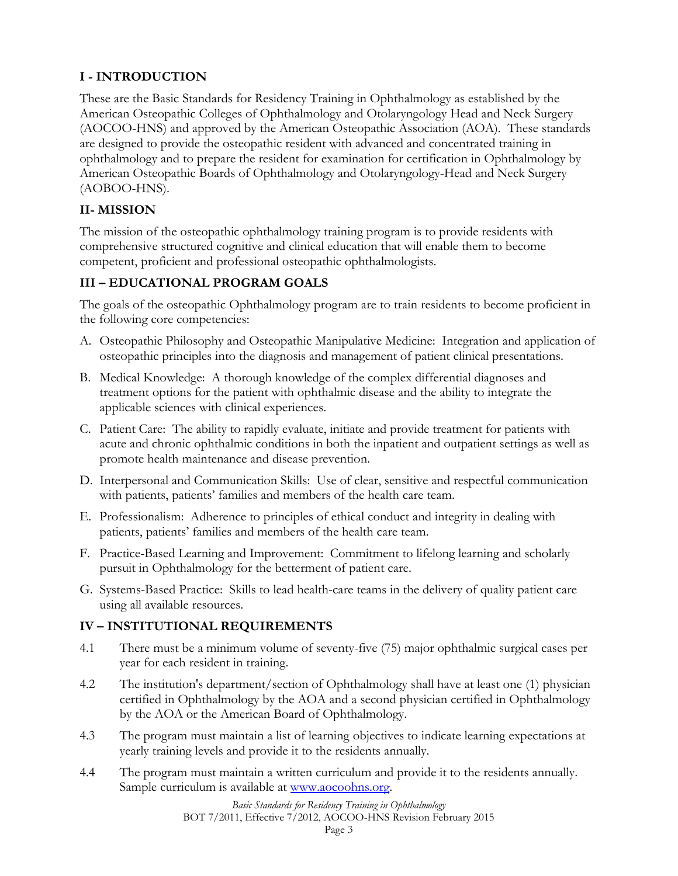# **I - INTRODUCTION**

These are the Basic Standards for Residency Training in Ophthalmology as established by the American Osteopathic Colleges of Ophthalmology and Otolaryngology Head and Neck Surgery (AOCOO-HNS) and approved by the American Osteopathic Association (AOA). These standards are designed to provide the osteopathic resident with advanced and concentrated training in ophthalmology and to prepare the resident for examination for certification in Ophthalmology by American Osteopathic Boards of Ophthalmology and Otolaryngology-Head and Neck Surgery (AOBOO-HNS).

# **II- MISSION**

The mission of the osteopathic ophthalmology training program is to provide residents with comprehensive structured cognitive and clinical education that will enable them to become competent, proficient and professional osteopathic ophthalmologists.

# **III – EDUCATIONAL PROGRAM GOALS**

The goals of the osteopathic Ophthalmology program are to train residents to become proficient in the following core competencies:

- A. Osteopathic Philosophy and Osteopathic Manipulative Medicine: Integration and application of osteopathic principles into the diagnosis and management of patient clinical presentations.
- B. Medical Knowledge: A thorough knowledge of the complex differential diagnoses and treatment options for the patient with ophthalmic disease and the ability to integrate the applicable sciences with clinical experiences.
- C. Patient Care: The ability to rapidly evaluate, initiate and provide treatment for patients with acute and chronic ophthalmic conditions in both the inpatient and outpatient settings as well as promote health maintenance and disease prevention.
- D. Interpersonal and Communication Skills: Use of clear, sensitive and respectful communication with patients, patients' families and members of the health care team.
- E. Professionalism: Adherence to principles of ethical conduct and integrity in dealing with patients, patients' families and members of the health care team.
- F. Practice-Based Learning and Improvement: Commitment to lifelong learning and scholarly pursuit in Ophthalmology for the betterment of patient care.
- G. Systems-Based Practice: Skills to lead health-care teams in the delivery of quality patient care using all available resources.

## **IV – INSTITUTIONAL REQUIREMENTS**

- 4.1 There must be a minimum volume of seventy-five (75) major ophthalmic surgical cases per year for each resident in training.
- 4.2 The institution's department/section of Ophthalmology shall have at least one (1) physician certified in Ophthalmology by the AOA and a second physician certified in Ophthalmology by the AOA or the American Board of Ophthalmology.
- 4.3 The program must maintain a list of learning objectives to indicate learning expectations at yearly training levels and provide it to the residents annually.
- 4.4 The program must maintain a written curriculum and provide it to the residents annually. Sample curriculum is available at www.aocoohns.org.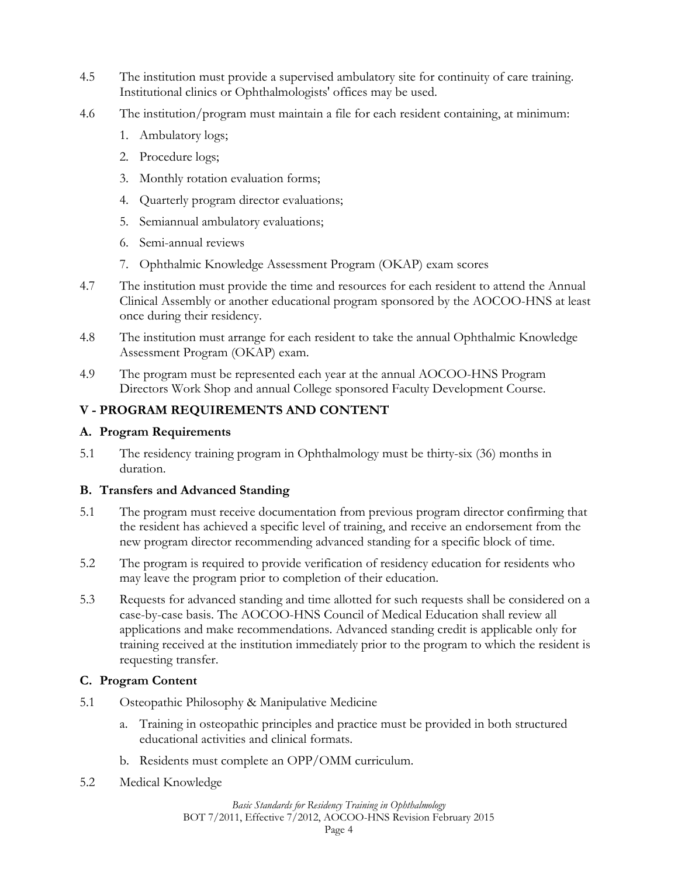- 4.5 The institution must provide a supervised ambulatory site for continuity of care training. Institutional clinics or Ophthalmologists' offices may be used.
- 4.6 The institution/program must maintain a file for each resident containing, at minimum:
	- 1. Ambulatory logs;
	- 2. Procedure logs;
	- 3. Monthly rotation evaluation forms;
	- 4. Quarterly program director evaluations;
	- 5. Semiannual ambulatory evaluations;
	- 6. Semi-annual reviews
	- 7. Ophthalmic Knowledge Assessment Program (OKAP) exam scores
- 4.7 The institution must provide the time and resources for each resident to attend the Annual Clinical Assembly or another educational program sponsored by the AOCOO-HNS at least once during their residency.
- 4.8 The institution must arrange for each resident to take the annual Ophthalmic Knowledge Assessment Program (OKAP) exam.
- 4.9 The program must be represented each year at the annual AOCOO-HNS Program Directors Work Shop and annual College sponsored Faculty Development Course.

### **V - PROGRAM REQUIREMENTS AND CONTENT**

#### **A. Program Requirements**

5.1 The residency training program in Ophthalmology must be thirty-six (36) months in duration.

### **B. Transfers and Advanced Standing**

- 5.1 The program must receive documentation from previous program director confirming that the resident has achieved a specific level of training, and receive an endorsement from the new program director recommending advanced standing for a specific block of time.
- 5.2 The program is required to provide verification of residency education for residents who may leave the program prior to completion of their education.
- 5.3 Requests for advanced standing and time allotted for such requests shall be considered on a case-by-case basis. The AOCOO-HNS Council of Medical Education shall review all applications and make recommendations. Advanced standing credit is applicable only for training received at the institution immediately prior to the program to which the resident is requesting transfer.

### **C. Program Content**

- 5.1 Osteopathic Philosophy & Manipulative Medicine
	- a. Training in osteopathic principles and practice must be provided in both structured educational activities and clinical formats.
	- b. Residents must complete an OPP/OMM curriculum.
- 5.2 Medical Knowledge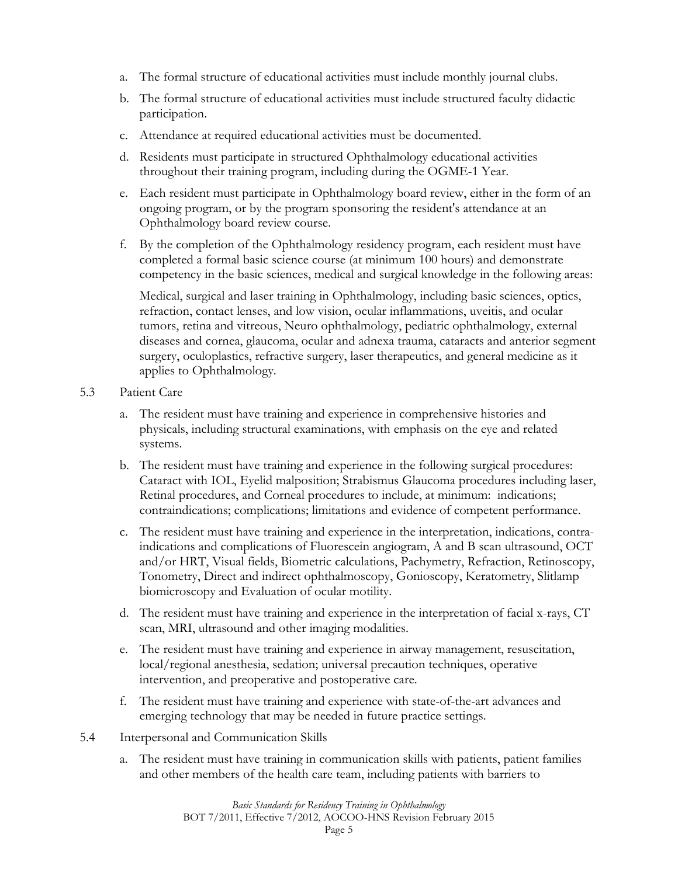- a. The formal structure of educational activities must include monthly journal clubs.
- b. The formal structure of educational activities must include structured faculty didactic participation.
- c. Attendance at required educational activities must be documented.
- d. Residents must participate in structured Ophthalmology educational activities throughout their training program, including during the OGME-1 Year.
- e. Each resident must participate in Ophthalmology board review, either in the form of an ongoing program, or by the program sponsoring the resident's attendance at an Ophthalmology board review course.
- f. By the completion of the Ophthalmology residency program, each resident must have completed a formal basic science course (at minimum 100 hours) and demonstrate competency in the basic sciences, medical and surgical knowledge in the following areas:

Medical, surgical and laser training in Ophthalmology, including basic sciences, optics, refraction, contact lenses, and low vision, ocular inflammations, uveitis, and ocular tumors, retina and vitreous, Neuro ophthalmology, pediatric ophthalmology, external diseases and cornea, glaucoma, ocular and adnexa trauma, cataracts and anterior segment surgery, oculoplastics, refractive surgery, laser therapeutics, and general medicine as it applies to Ophthalmology.

- 5.3 Patient Care
	- a. The resident must have training and experience in comprehensive histories and physicals, including structural examinations, with emphasis on the eye and related systems.
	- b. The resident must have training and experience in the following surgical procedures: Cataract with IOL, Eyelid malposition; Strabismus Glaucoma procedures including laser, Retinal procedures, and Corneal procedures to include, at minimum: indications; contraindications; complications; limitations and evidence of competent performance.
	- c. The resident must have training and experience in the interpretation, indications, contraindications and complications of Fluorescein angiogram, A and B scan ultrasound, OCT and/or HRT, Visual fields, Biometric calculations, Pachymetry, Refraction, Retinoscopy, Tonometry, Direct and indirect ophthalmoscopy, Gonioscopy, Keratometry, Slitlamp biomicroscopy and Evaluation of ocular motility.
	- d. The resident must have training and experience in the interpretation of facial x-rays, CT scan, MRI, ultrasound and other imaging modalities.
	- e. The resident must have training and experience in airway management, resuscitation, local/regional anesthesia, sedation; universal precaution techniques, operative intervention, and preoperative and postoperative care.
	- f. The resident must have training and experience with state-of-the-art advances and emerging technology that may be needed in future practice settings.
- 5.4 Interpersonal and Communication Skills
	- a. The resident must have training in communication skills with patients, patient families and other members of the health care team, including patients with barriers to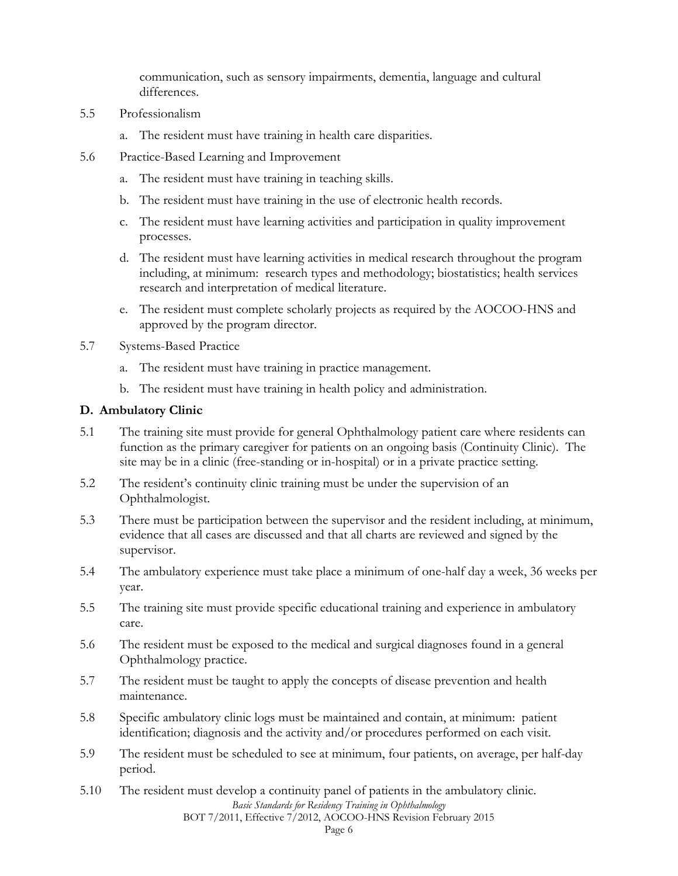communication, such as sensory impairments, dementia, language and cultural differences.

- 5.5 Professionalism
	- a. The resident must have training in health care disparities.
- 5.6 Practice-Based Learning and Improvement
	- a. The resident must have training in teaching skills.
	- b. The resident must have training in the use of electronic health records.
	- c. The resident must have learning activities and participation in quality improvement processes.
	- d. The resident must have learning activities in medical research throughout the program including, at minimum: research types and methodology; biostatistics; health services research and interpretation of medical literature.
	- e. The resident must complete scholarly projects as required by the AOCOO-HNS and approved by the program director.
- 5.7 Systems-Based Practice
	- a. The resident must have training in practice management.
	- b. The resident must have training in health policy and administration.

#### **D. Ambulatory Clinic**

- 5.1 The training site must provide for general Ophthalmology patient care where residents can function as the primary caregiver for patients on an ongoing basis (Continuity Clinic). The site may be in a clinic (free-standing or in-hospital) or in a private practice setting.
- 5.2 The resident's continuity clinic training must be under the supervision of an Ophthalmologist.
- 5.3 There must be participation between the supervisor and the resident including, at minimum, evidence that all cases are discussed and that all charts are reviewed and signed by the supervisor.
- 5.4 The ambulatory experience must take place a minimum of one-half day a week, 36 weeks per year.
- 5.5 The training site must provide specific educational training and experience in ambulatory care.
- 5.6 The resident must be exposed to the medical and surgical diagnoses found in a general Ophthalmology practice.
- 5.7 The resident must be taught to apply the concepts of disease prevention and health maintenance.
- 5.8 Specific ambulatory clinic logs must be maintained and contain, at minimum: patient identification; diagnosis and the activity and/or procedures performed on each visit.
- 5.9 The resident must be scheduled to see at minimum, four patients, on average, per half-day period.
- *Basic Standards for Residency Training in Ophthalmology*  5.10 The resident must develop a continuity panel of patients in the ambulatory clinic.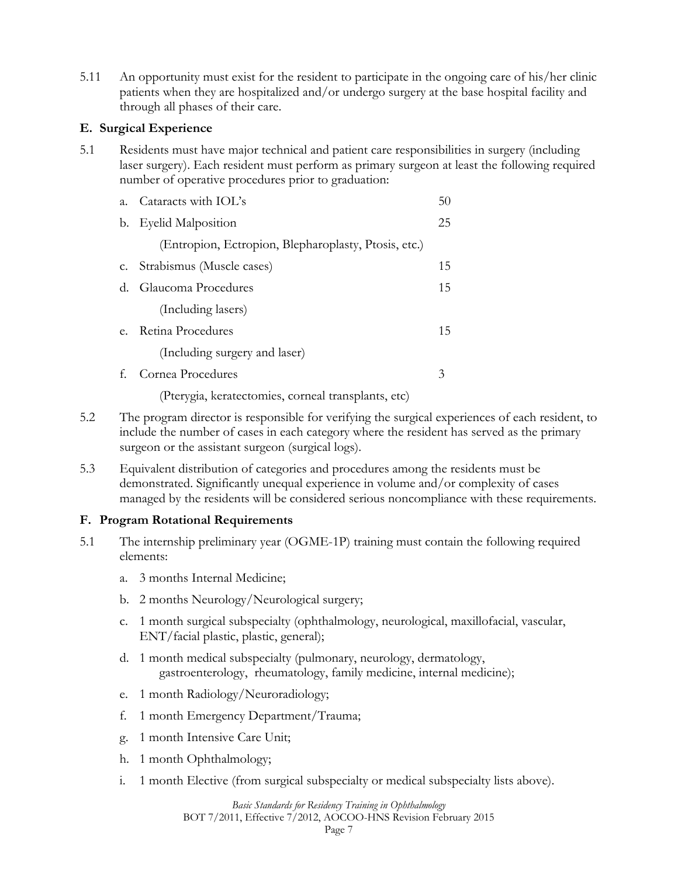5.11 An opportunity must exist for the resident to participate in the ongoing care of his/her clinic patients when they are hospitalized and/or undergo surgery at the base hospital facility and through all phases of their care.

#### **E. Surgical Experience**

5.1 Residents must have major technical and patient care responsibilities in surgery (including laser surgery). Each resident must perform as primary surgeon at least the following required number of operative procedures prior to graduation:

| $a_{\cdot}$ | Cataracts with IOL's                                 | 50 |
|-------------|------------------------------------------------------|----|
| b.          | <b>Eyelid Malposition</b>                            | 25 |
|             | (Entropion, Ectropion, Blepharoplasty, Ptosis, etc.) |    |
|             | c. Strabismus (Muscle cases)                         | 15 |
| $d_{\cdot}$ | Glaucoma Procedures                                  | 15 |
|             | (Including lasers)                                   |    |
| $e_{\cdot}$ | Retina Procedures                                    | 15 |
|             | (Including surgery and laser)                        |    |
|             | Cornea Procedures                                    | 3  |

(Pterygia, keratectomies, corneal transplants, etc)

- 5.2 The program director is responsible for verifying the surgical experiences of each resident, to include the number of cases in each category where the resident has served as the primary surgeon or the assistant surgeon (surgical logs).
- 5.3 Equivalent distribution of categories and procedures among the residents must be demonstrated. Significantly unequal experience in volume and/or complexity of cases managed by the residents will be considered serious noncompliance with these requirements.

### **F. Program Rotational Requirements**

- 5.1 The internship preliminary year (OGME-1P) training must contain the following required elements:
	- a. 3 months Internal Medicine;
	- b. 2 months Neurology/Neurological surgery;
	- c. 1 month surgical subspecialty (ophthalmology, neurological, maxillofacial, vascular, ENT/facial plastic, plastic, general);
	- d. 1 month medical subspecialty (pulmonary, neurology, dermatology, gastroenterology, rheumatology, family medicine, internal medicine);
	- e. 1 month Radiology/Neuroradiology;
	- f. 1 month Emergency Department/Trauma;
	- g. 1 month Intensive Care Unit;
	- h. 1 month Ophthalmology;
	- i. 1 month Elective (from surgical subspecialty or medical subspecialty lists above).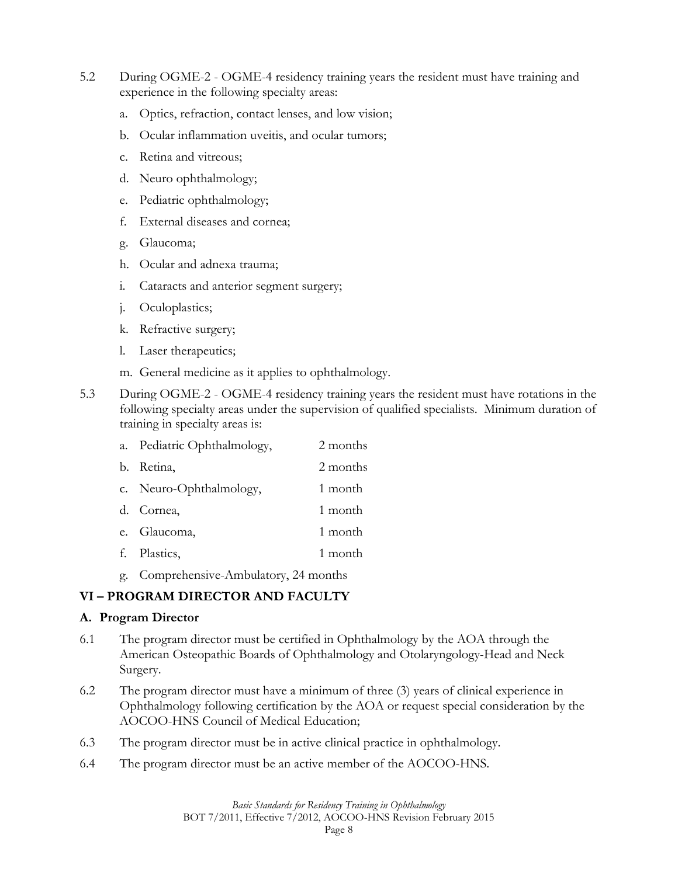- 5.2 During OGME-2 OGME-4 residency training years the resident must have training and experience in the following specialty areas:
	- a. Optics, refraction, contact lenses, and low vision;
	- b. Ocular inflammation uveitis, and ocular tumors;
	- c. Retina and vitreous;
	- d. Neuro ophthalmology;
	- e. Pediatric ophthalmology;
	- f. External diseases and cornea;
	- g. Glaucoma;
	- h. Ocular and adnexa trauma;
	- i. Cataracts and anterior segment surgery;
	- j. Oculoplastics;
	- k. Refractive surgery;
	- l. Laser therapeutics;
	- m. General medicine as it applies to ophthalmology.
- 5.3 During OGME-2 OGME-4 residency training years the resident must have rotations in the following specialty areas under the supervision of qualified specialists. Minimum duration of training in specialty areas is:

| a. Pediatric Ophthalmology, | 2 months |
|-----------------------------|----------|
| b. Retina,                  | 2 months |
| c. Neuro-Ophthalmology,     | 1 month  |
| d. Cornea,                  | 1 month  |
| e. Glaucoma,                | 1 month  |
| f. Plastics,                | 1 month  |
|                             |          |

g. Comprehensive-Ambulatory, 24 months

## **VI – PROGRAM DIRECTOR AND FACULTY**

#### **A. Program Director**

- 6.1 The program director must be certified in Ophthalmology by the AOA through the American Osteopathic Boards of Ophthalmology and Otolaryngology-Head and Neck Surgery.
- 6.2 The program director must have a minimum of three (3) years of clinical experience in Ophthalmology following certification by the AOA or request special consideration by the AOCOO-HNS Council of Medical Education;
- 6.3 The program director must be in active clinical practice in ophthalmology.
- 6.4 The program director must be an active member of the AOCOO-HNS.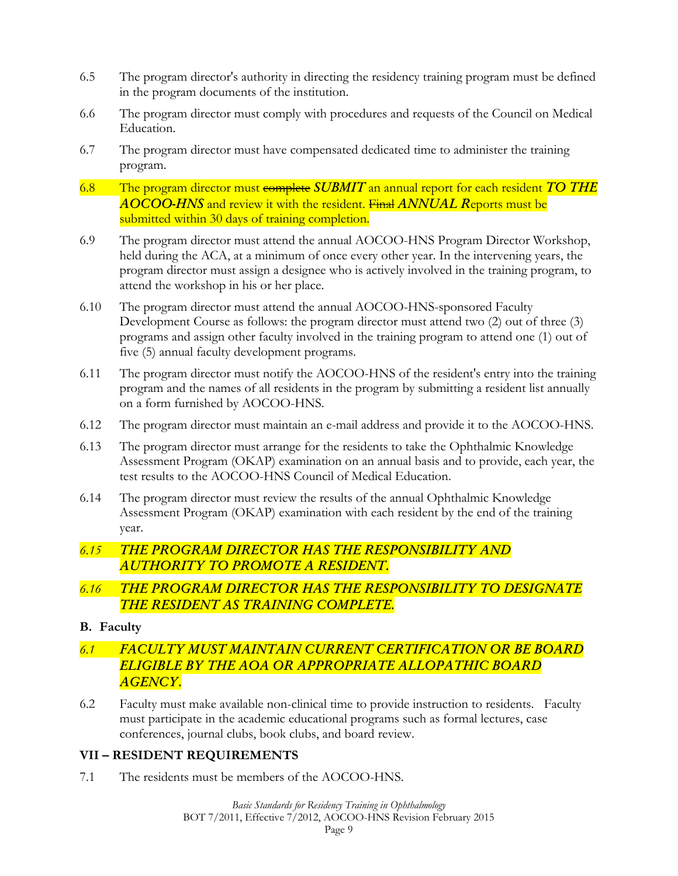- 6.5 The program director's authority in directing the residency training program must be defined in the program documents of the institution.
- 6.6 The program director must comply with procedures and requests of the Council on Medical Education.
- 6.7 The program director must have compensated dedicated time to administer the training program.
- 6.8 The program director must complete *SUBMIT* an annual report for each resident *TO THE AOCOO-HNS* and review it with the resident. Final *ANNUAL R*eports must be submitted within 30 days of training completion.
- 6.9 The program director must attend the annual AOCOO-HNS Program Director Workshop, held during the ACA, at a minimum of once every other year. In the intervening years, the program director must assign a designee who is actively involved in the training program, to attend the workshop in his or her place.
- 6.10 The program director must attend the annual AOCOO-HNS-sponsored Faculty Development Course as follows: the program director must attend two (2) out of three (3) programs and assign other faculty involved in the training program to attend one (1) out of five (5) annual faculty development programs.
- 6.11 The program director must notify the AOCOO-HNS of the resident's entry into the training program and the names of all residents in the program by submitting a resident list annually on a form furnished by AOCOO-HNS.
- 6.12 The program director must maintain an e-mail address and provide it to the AOCOO-HNS.
- 6.13 The program director must arrange for the residents to take the Ophthalmic Knowledge Assessment Program (OKAP) examination on an annual basis and to provide, each year, the test results to the AOCOO-HNS Council of Medical Education.
- 6.14 The program director must review the results of the annual Ophthalmic Knowledge Assessment Program (OKAP) examination with each resident by the end of the training year.

# *6.15 THE PROGRAM DIRECTOR HAS THE RESPONSIBILITY AND AUTHORITY TO PROMOTE A RESIDENT.*

## *6.16 THE PROGRAM DIRECTOR HAS THE RESPONSIBILITY TO DESIGNATE THE RESIDENT AS TRAINING COMPLETE.*

## **B. Faculty**

- *6.1 FACULTY MUST MAINTAIN CURRENT CERTIFICATION OR BE BOARD ELIGIBLE BY THE AOA OR APPROPRIATE ALLOPATHIC BOARD AGENCY.*
- 6.2 Faculty must make available non-clinical time to provide instruction to residents. Faculty must participate in the academic educational programs such as formal lectures, case conferences, journal clubs, book clubs, and board review.

### **VII – RESIDENT REQUIREMENTS**

7.1 The residents must be members of the AOCOO-HNS.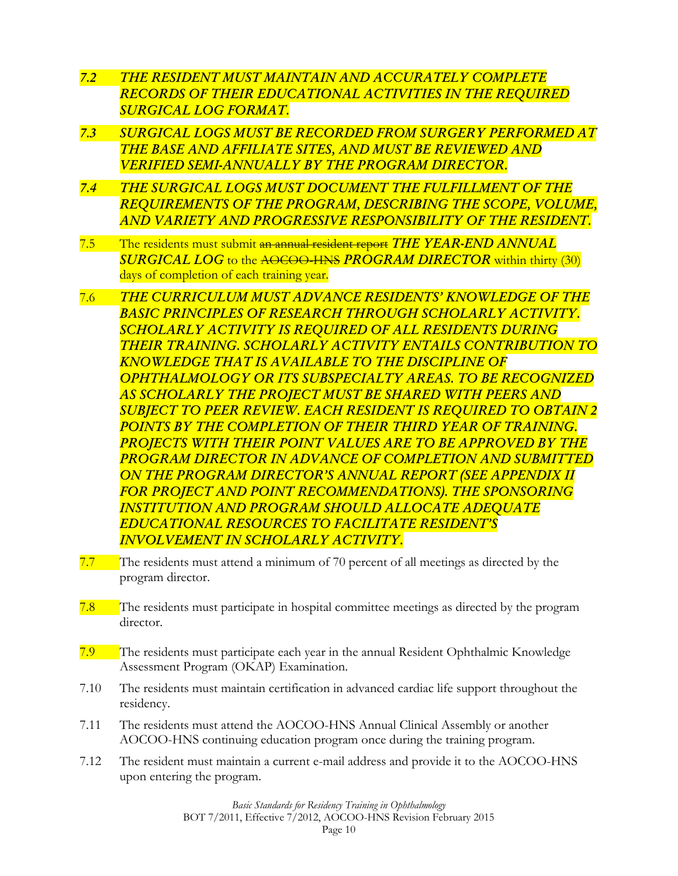- *7.2 THE RESIDENT MUST MAINTAIN AND ACCURATELY COMPLETE RECORDS OF THEIR EDUCATIONAL ACTIVITIES IN THE REQUIRED SURGICAL LOG FORMAT.*
- *7.3 SURGICAL LOGS MUST BE RECORDED FROM SURGERY PERFORMED AT THE BASE AND AFFILIATE SITES, AND MUST BE REVIEWED AND VERIFIED SEMI-ANNUALLY BY THE PROGRAM DIRECTOR.*
- *7.4 THE SURGICAL LOGS MUST DOCUMENT THE FULFILLMENT OF THE REQUIREMENTS OF THE PROGRAM, DESCRIBING THE SCOPE, VOLUME, AND VARIETY AND PROGRESSIVE RESPONSIBILITY OF THE RESIDENT.*
- 7.5 The residents must submit an annual resident report *THE YEAR-END ANNUAL SURGICAL LOG* to the AOCOO-HNS *PROGRAM DIRECTOR* within thirty (30) days of completion of each training year.
- 7.6 *THE CURRICULUM MUST ADVANCE RESIDENTS' KNOWLEDGE OF THE BASIC PRINCIPLES OF RESEARCH THROUGH SCHOLARLY ACTIVITY. SCHOLARLY ACTIVITY IS REQUIRED OF ALL RESIDENTS DURING THEIR TRAINING. SCHOLARLY ACTIVITY ENTAILS CONTRIBUTION TO KNOWLEDGE THAT IS AVAILABLE TO THE DISCIPLINE OF OPHTHALMOLOGY OR ITS SUBSPECIALTY AREAS. TO BE RECOGNIZED AS SCHOLARLY THE PROJECT MUST BE SHARED WITH PEERS AND SUBJECT TO PEER REVIEW. EACH RESIDENT IS REQUIRED TO OBTAIN 2 POINTS BY THE COMPLETION OF THEIR THIRD YEAR OF TRAINING. PROJECTS WITH THEIR POINT VALUES ARE TO BE APPROVED BY THE PROGRAM DIRECTOR IN ADVANCE OF COMPLETION AND SUBMITTED ON THE PROGRAM DIRECTOR'S ANNUAL REPORT (SEE APPENDIX II FOR PROJECT AND POINT RECOMMENDATIONS). THE SPONSORING INSTITUTION AND PROGRAM SHOULD ALLOCATE ADEQUATE EDUCATIONAL RESOURCES TO FACILITATE RESIDENT'S INVOLVEMENT IN SCHOLARLY ACTIVITY.*
- 7.7 The residents must attend a minimum of 70 percent of all meetings as directed by the program director.
- 7.8 The residents must participate in hospital committee meetings as directed by the program director.
- 7.9 The residents must participate each year in the annual Resident Ophthalmic Knowledge Assessment Program (OKAP) Examination.
- 7.10 The residents must maintain certification in advanced cardiac life support throughout the residency.
- 7.11 The residents must attend the AOCOO-HNS Annual Clinical Assembly or another AOCOO-HNS continuing education program once during the training program.
- 7.12 The resident must maintain a current e-mail address and provide it to the AOCOO-HNS upon entering the program.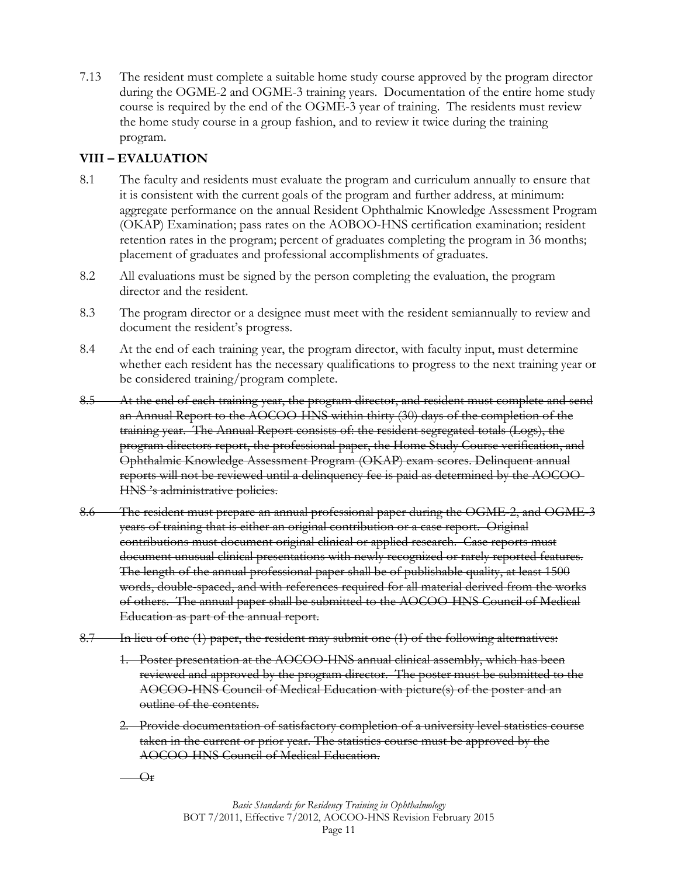7.13 The resident must complete a suitable home study course approved by the program director during the OGME-2 and OGME-3 training years. Documentation of the entire home study course is required by the end of the OGME-3 year of training. The residents must review the home study course in a group fashion, and to review it twice during the training program.

## **VIII – EVALUATION**

- 8.1 The faculty and residents must evaluate the program and curriculum annually to ensure that it is consistent with the current goals of the program and further address, at minimum: aggregate performance on the annual Resident Ophthalmic Knowledge Assessment Program (OKAP) Examination; pass rates on the AOBOO-HNS certification examination; resident retention rates in the program; percent of graduates completing the program in 36 months; placement of graduates and professional accomplishments of graduates.
- 8.2 All evaluations must be signed by the person completing the evaluation, the program director and the resident.
- 8.3 The program director or a designee must meet with the resident semiannually to review and document the resident's progress.
- 8.4 At the end of each training year, the program director, with faculty input, must determine whether each resident has the necessary qualifications to progress to the next training year or be considered training/program complete.
- 8.5 At the end of each training year, the program director, and resident must complete and send an Annual Report to the AOCOO-HNS within thirty (30) days of the completion of the training year. The Annual Report consists of: the resident segregated totals (Logs), the program directors report, the professional paper, the Home Study Course verification, and Ophthalmic Knowledge Assessment Program (OKAP) exam scores. Delinquent annual reports will not be reviewed until a delinquency fee is paid as determined by the AOCOO-HNS 's administrative policies.
- 8.6 The resident must prepare an annual professional paper during the OGME-2, and OGME-3 years of training that is either an original contribution or a case report. Original contributions must document original clinical or applied research. Case reports must document unusual clinical presentations with newly recognized or rarely reported features. The length of the annual professional paper shall be of publishable quality, at least 1500 words, double-spaced, and with references required for all material derived from the works of others. The annual paper shall be submitted to the AOCOO-HNS Council of Medical Education as part of the annual report.
- 8.7 In lieu of one (1) paper, the resident may submit one (1) of the following alternatives:
	- 1. Poster presentation at the AOCOO-HNS annual clinical assembly, which has been reviewed and approved by the program director. The poster must be submitted to the AOCOO-HNS Council of Medical Education with picture(s) of the poster and an outline of the contents.
	- 2. Provide documentation of satisfactory completion of a university level statistics course taken in the current or prior year. The statistics course must be approved by the AOCOO-HNS Council of Medical Education.
	- $-\Theta$ r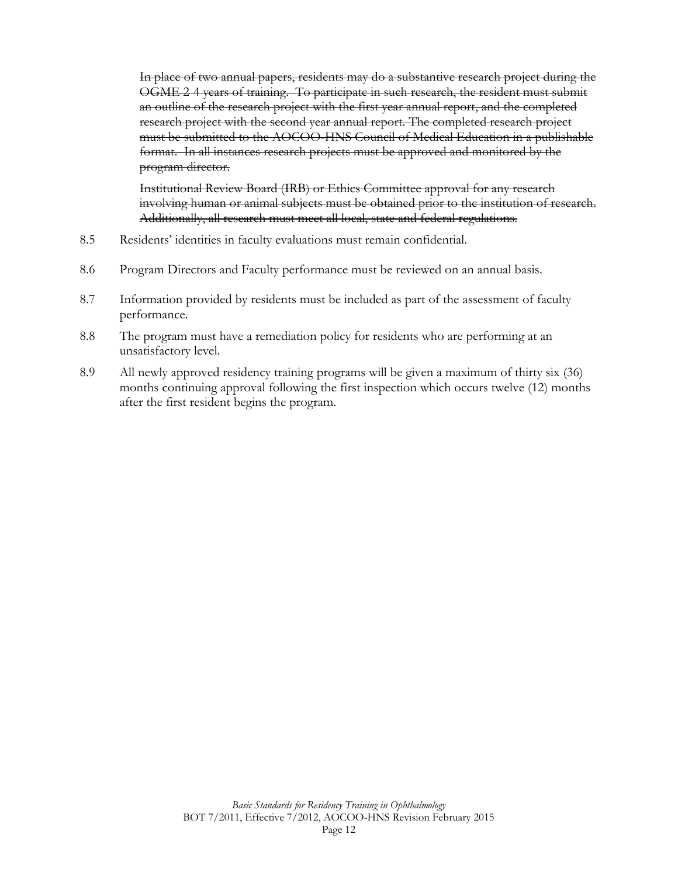In place of two annual papers, residents may do a substantive research project during the OGME 2-4 years of training. To participate in such research, the resident must submit an outline of the research project with the first year annual report, and the completed research project with the second year annual report. The completed research project must be submitted to the AOCOO-HNS Council of Medical Education in a publishable format. In all instances research projects must be approved and monitored by the program director.

Institutional Review Board (IRB) or Ethics Committee approval for any research involving human or animal subjects must be obtained prior to the institution of research. Additionally, all research must meet all local, state and federal regulations.

- 8.5 Residents' identities in faculty evaluations must remain confidential.
- 8.6 Program Directors and Faculty performance must be reviewed on an annual basis.
- 8.7 Information provided by residents must be included as part of the assessment of faculty performance.
- 8.8 The program must have a remediation policy for residents who are performing at an unsatisfactory level.
- 8.9 All newly approved residency training programs will be given a maximum of thirty six (36) months continuing approval following the first inspection which occurs twelve (12) months after the first resident begins the program.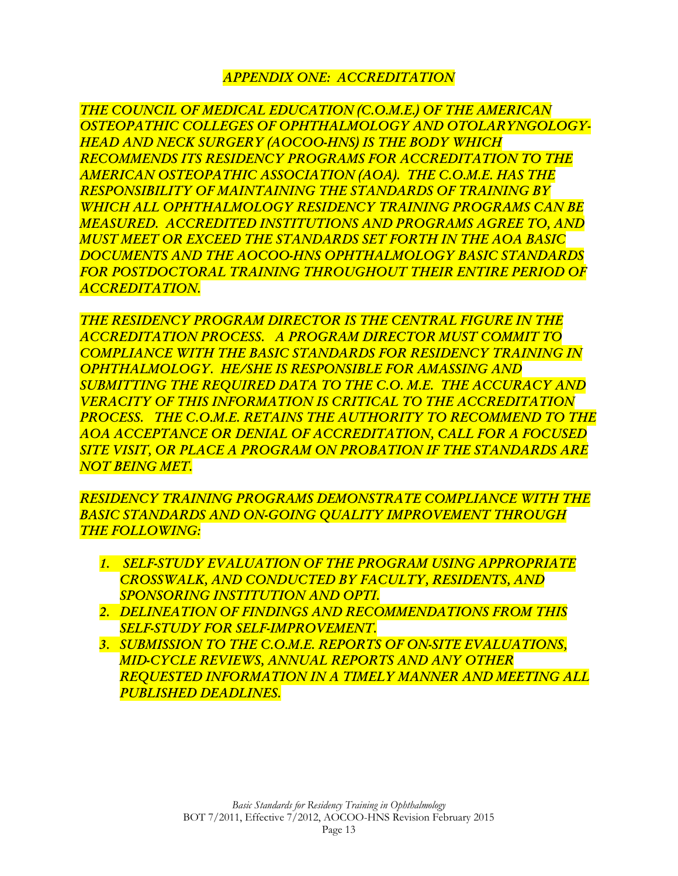## *APPENDIX ONE: ACCREDITATION*

*THE COUNCIL OF MEDICAL EDUCATION (C.O.M.E.) OF THE AMERICAN OSTEOPATHIC COLLEGES OF OPHTHALMOLOGY AND OTOLARYNGOLOGY-HEAD AND NECK SURGERY (AOCOO-HNS) IS THE BODY WHICH RECOMMENDS ITS RESIDENCY PROGRAMS FOR ACCREDITATION TO THE AMERICAN OSTEOPATHIC ASSOCIATION (AOA). THE C.O.M.E. HAS THE RESPONSIBILITY OF MAINTAINING THE STANDARDS OF TRAINING BY WHICH ALL OPHTHALMOLOGY RESIDENCY TRAINING PROGRAMS CAN BE MEASURED. ACCREDITED INSTITUTIONS AND PROGRAMS AGREE TO, AND MUST MEET OR EXCEED THE STANDARDS SET FORTH IN THE AOA BASIC DOCUMENTS AND THE AOCOO-HNS OPHTHALMOLOGY BASIC STANDARDS FOR POSTDOCTORAL TRAINING THROUGHOUT THEIR ENTIRE PERIOD OF ACCREDITATION.* 

*THE RESIDENCY PROGRAM DIRECTOR IS THE CENTRAL FIGURE IN THE ACCREDITATION PROCESS. A PROGRAM DIRECTOR MUST COMMIT TO COMPLIANCE WITH THE BASIC STANDARDS FOR RESIDENCY TRAINING IN OPHTHALMOLOGY. HE/SHE IS RESPONSIBLE FOR AMASSING AND SUBMITTING THE REQUIRED DATA TO THE C.O. M.E. THE ACCURACY AND VERACITY OF THIS INFORMATION IS CRITICAL TO THE ACCREDITATION PROCESS. THE C.O.M.E. RETAINS THE AUTHORITY TO RECOMMEND TO THE AOA ACCEPTANCE OR DENIAL OF ACCREDITATION, CALL FOR A FOCUSED SITE VISIT, OR PLACE A PROGRAM ON PROBATION IF THE STANDARDS ARE NOT BEING MET.* 

*RESIDENCY TRAINING PROGRAMS DEMONSTRATE COMPLIANCE WITH THE BASIC STANDARDS AND ON-GOING QUALITY IMPROVEMENT THROUGH THE FOLLOWING:* 

- *1. SELF-STUDY EVALUATION OF THE PROGRAM USING APPROPRIATE CROSSWALK, AND CONDUCTED BY FACULTY, RESIDENTS, AND SPONSORING INSTITUTION AND OPTI.*
- *2. DELINEATION OF FINDINGS AND RECOMMENDATIONS FROM THIS SELF-STUDY FOR SELF-IMPROVEMENT.*
- *3. SUBMISSION TO THE C.O.M.E. REPORTS OF ON-SITE EVALUATIONS, MID-CYCLE REVIEWS, ANNUAL REPORTS AND ANY OTHER REQUESTED INFORMATION IN A TIMELY MANNER AND MEETING ALL PUBLISHED DEADLINES.*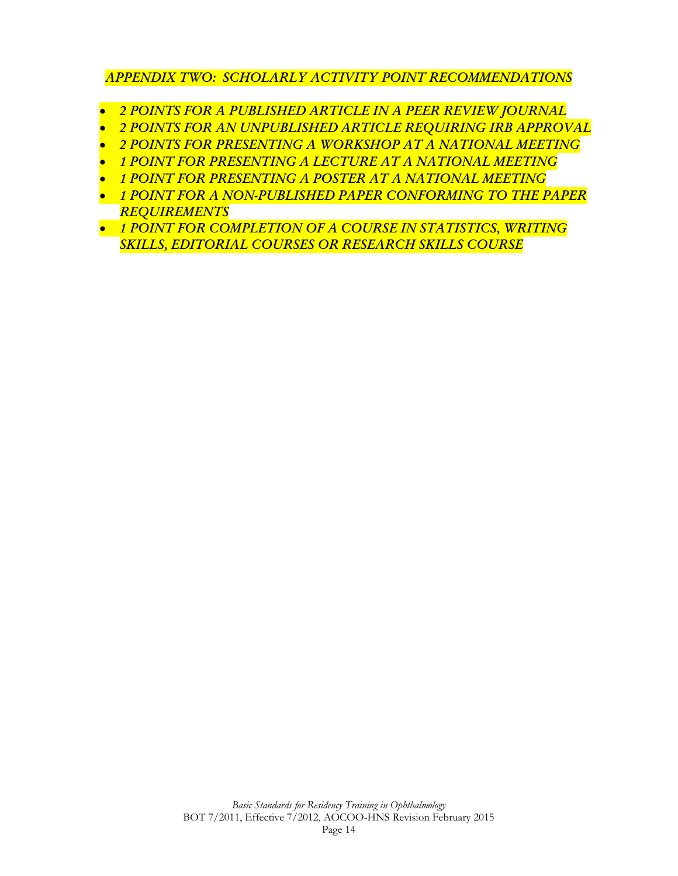### *APPENDIX TWO: SCHOLARLY ACTIVITY POINT RECOMMENDATIONS*

- *2 POINTS FOR A PUBLISHED ARTICLE IN A PEER REVIEW JOURNAL*
- *2 POINTS FOR AN UNPUBLISHED ARTICLE REQUIRING IRB APPROVAL*
- *2 POINTS FOR PRESENTING A WORKSHOP AT A NATIONAL MEETING*
- *1 POINT FOR PRESENTING A LECTURE AT A NATIONAL MEETING*
- *1 POINT FOR PRESENTING A POSTER AT A NATIONAL MEETING*
- *1 POINT FOR A NON-PUBLISHED PAPER CONFORMING TO THE PAPER REQUIREMENTS*
- *1 POINT FOR COMPLETION OF A COURSE IN STATISTICS, WRITING SKILLS, EDITORIAL COURSES OR RESEARCH SKILLS COURSE*